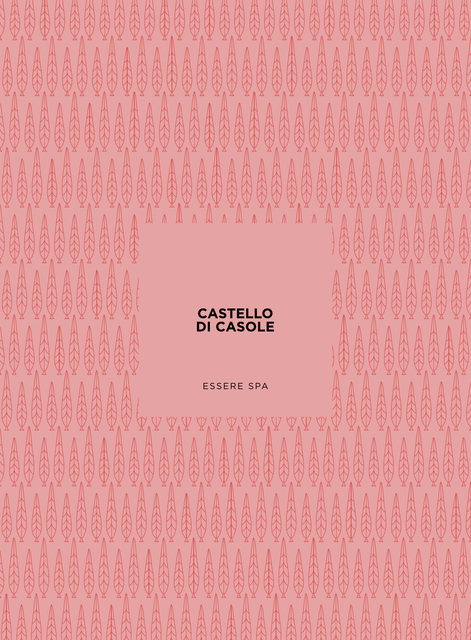# ASTELL **CASOL**

 $\frac{1}{2}$ 

A

A

R

 $\begin{matrix} \end{matrix}$ 

人民

 $\frac{1}{2}$ 

A 

 $\overline{\mathbb{R}}$ 

人人

 $\mathbb{A}$ 

的

A  A

R

ARAN 

**REP** 

A

A

A

A

**ARANT** 

A

A

A

A

A

H

A

AAR

A

发展

A

A

A

A

 $\mathbb{A}$ 

A

A

 $\mathbb{A}$ 

 $\hat{X}$ 

 $\frac{1}{2}$ 

 $\bigoplus$ 

A

A

A

A

 $\frac{1}{2}$ 

A

A A  $\mathbb{A}$ 

R

A

A

A

A

A

R

A

 $\frac{1}{2}$ 

A

A

A

 $\bigoplus_{n=0}^{\infty}$ 

A

A

A

A

A

A

A

A

A

A

HAND

ARA

HA

A

人

 $\frac{1}{2}$ 

A

 $\frac{1}{2}$ 

R

 $\bigoplus_{k=1}^{n}$ 

的

 $\mathbb{R}$ 

A

人人

 $\mathbb{R}$ 

人民

R

A

A

ARAN

A

H

的

最佳

A

ARK! 

 $\frac{1}{2}$ 

A **ARAN** 

 $\mathbb N$ 

人

A

R

R

ARS

A

R

 $\frac{1}{2}$ 

A

AA

H

A

A

A

R

A

**SARRANT** 

ARA

A

AAA

A

人人

A

A

 $\mathbb{A}$ 

A

A

AA

A

A

A

ESSERE SPA

的

A

 $\mathbb{A}$ 

A

A

ARA

A

 $\frac{1}{2}$ 

A

RAN

A

A

A

A

A

 $\frac{1}{2}$ 

A

R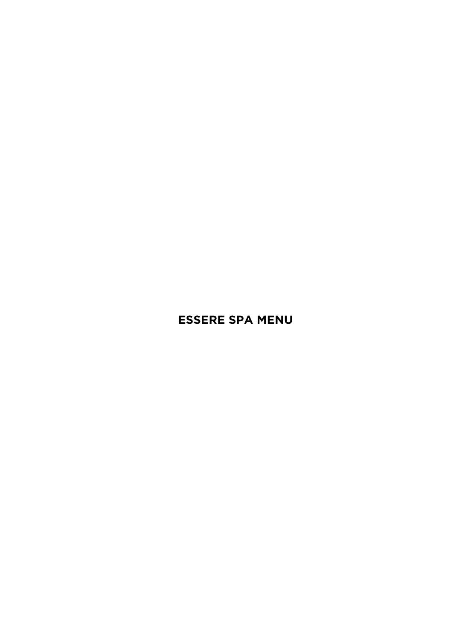# **ESSERE SPA MENU**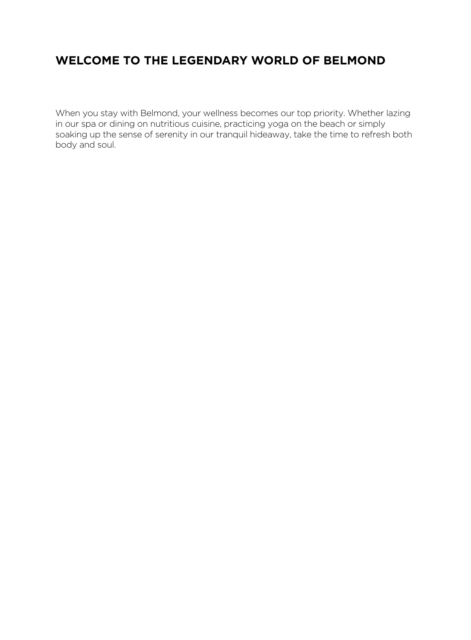# **WELCOME TO THE LEGENDARY WORLD OF BELMOND**

When you stay with Belmond, your wellness becomes our top priority. Whether lazing in our spa or dining on nutritious cuisine, practicing yoga on the beach or simply soaking up the sense of serenity in our tranquil hideaway, take the time to refresh both body and soul.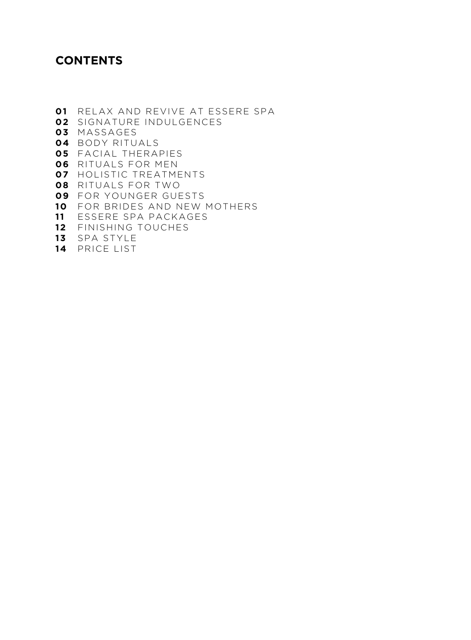# **CONTENTS**

- RELAX AND REVIVE AT ESSERE SPA SIGNATURE INDULGENCES MASSAGES BODY RITUALS FACIAL THERAPIES RITUALS FOR MEN HOLISTIC TREATMENTS RITUALS FOR TWO FOR YOUNGER GUESTS FOR BRIDES AND NEW MOTHERS ESSERE SPA PACKAGES
- FINISHING TOUCHES
- SPA STYLE
- PRICE LIST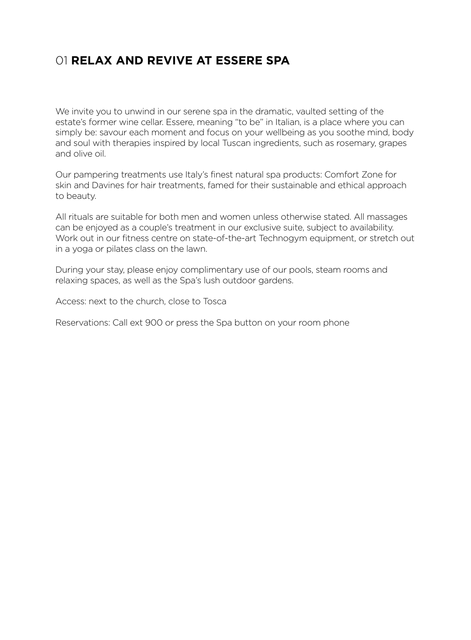# 01 **RELAX AND REVIVE AT ESSERE SPA**

We invite you to unwind in our serene spa in the dramatic, vaulted setting of the estate's former wine cellar. Essere, meaning "to be" in Italian, is a place where you can simply be: savour each moment and focus on your wellbeing as you soothe mind, body and soul with therapies inspired by local Tuscan ingredients, such as rosemary, grapes and olive oil.

Our pampering treatments use Italy's finest natural spa products: Comfort Zone for skin and Davines for hair treatments, famed for their sustainable and ethical approach to beauty.

All rituals are suitable for both men and women unless otherwise stated. All massages can be enjoyed as a couple's treatment in our exclusive suite, subject to availability. Work out in our fitness centre on state-of-the-art Technogym equipment, or stretch out in a yoga or pilates class on the lawn.

During your stay, please enjoy complimentary use of our pools, steam rooms and relaxing spaces, as well as the Spa's lush outdoor gardens.

Access: next to the church, close to Tosca

Reservations: Call ext 900 or press the Spa button on your room phone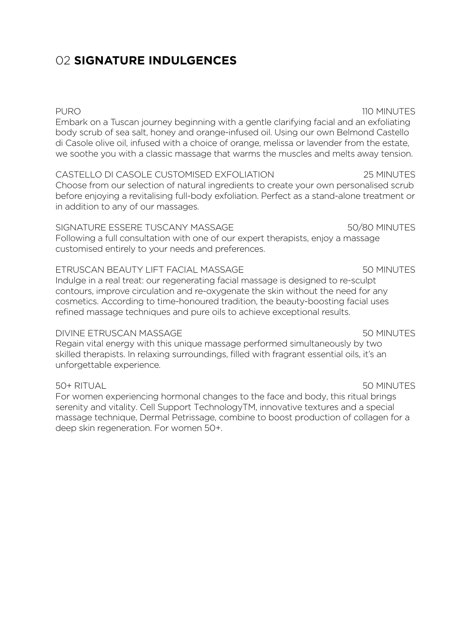# 02 **SIGNATURE INDULGENCES**

## PURO 110 MINUTES

Embark on a Tuscan journey beginning with a gentle clarifying facial and an exfoliating body scrub of sea salt, honey and orange-infused oil. Using our own Belmond Castello di Casole olive oil, infused with a choice of orange, melissa or lavender from the estate, we soothe you with a classic massage that warms the muscles and melts away tension.

## CASTELLO DI CASOLE CUSTOMISED EXFOLIATION 25 MINUTES

Choose from our selection of natural ingredients to create your own personalised scrub before enjoying a revitalising full-body exfoliation. Perfect as a stand-alone treatment or in addition to any of our massages.

## SIGNATURE ESSERE TUSCANY MASSAGE 50/80 MINUTES

Following a full consultation with one of our expert therapists, enjoy a massage customised entirely to your needs and preferences.

## ETRUSCAN BEAUTY LIFT FACIAL MASSAGE **1998** 50 MINUTES

Indulge in a real treat: our regenerating facial massage is designed to re-sculpt contours, improve circulation and re-oxygenate the skin without the need for any cosmetics. According to time-honoured tradition, the beauty-boosting facial uses refined massage techniques and pure oils to achieve exceptional results.

## DIVINE ETRUSCAN MASSAGE 50 MINUTES

Regain vital energy with this unique massage performed simultaneously by two skilled therapists. In relaxing surroundings, filled with fragrant essential oils, it's an unforgettable experience.

## 50+ RITUAL 50 MINUTES

For women experiencing hormonal changes to the face and body, this ritual brings serenity and vitality. Cell Support TechnologyTM, innovative textures and a special massage technique, Dermal Petrissage, combine to boost production of collagen for a deep skin regeneration. For women 50+.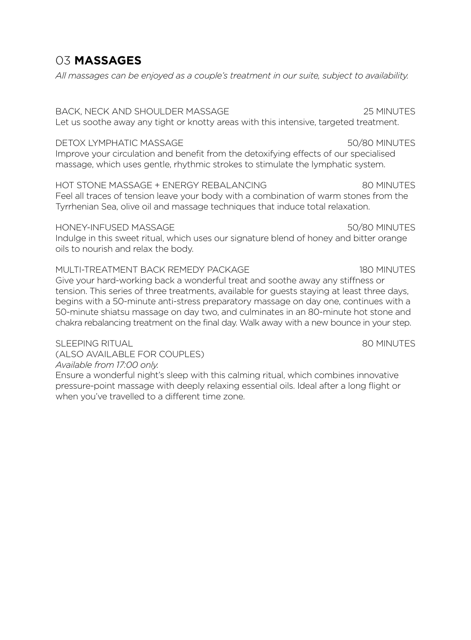# 03 **MASSAGES**

*All massages can be enjoyed as a couple's treatment in our suite, subject to availability.*

## BACK, NECK AND SHOULDER MASSAGE 25 MINUTES

Let us soothe away any tight or knotty areas with this intensive, targeted treatment.

## DETOX I YMPHATIC MASSAGE 50/80 MINUTES

Improve your circulation and benefit from the detoxifying effects of our specialised massage, which uses gentle, rhythmic strokes to stimulate the lymphatic system.

## HOT STONE MASSAGE + ENERGY REBALANCING 80 MINUTES

Feel all traces of tension leave your body with a combination of warm stones from the Tyrrhenian Sea, olive oil and massage techniques that induce total relaxation.

### HONEY-INFUSED MASSAGE 50/80 MINUTES Indulge in this sweet ritual, which uses our signature blend of honey and bitter orange oils to nourish and relax the body.

## MULTI-TREATMENT BACK REMEDY PACKAGE 180 MINUTES Give your hard-working back a wonderful treat and soothe away any stiffness or tension. This series of three treatments, available for guests staying at least three days, begins with a 50-minute anti-stress preparatory massage on day one, continues with a 50-minute shiatsu massage on day two, and culminates in an 80-minute hot stone and chakra rebalancing treatment on the final day. Walk away with a new bounce in your step.

## SI FEPING RITUAL SOMINUTES

(ALSO AVAILABLE FOR COUPLES) *Available from 17:00 only.*

Ensure a wonderful night's sleep with this calming ritual, which combines innovative pressure-point massage with deeply relaxing essential oils. Ideal after a long flight or when you've travelled to a different time zone.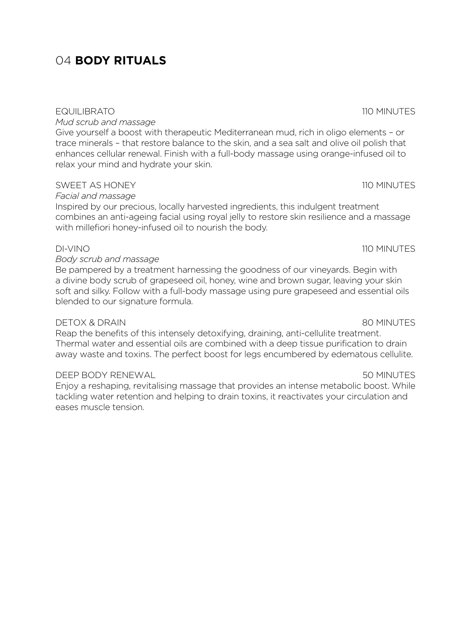# 04 **BODY RITUALS**

## EQUILIBRATO 110 MINUTES

*Mud scrub and massage* 

Give yourself a boost with therapeutic Mediterranean mud, rich in oligo elements – or trace minerals – that restore balance to the skin, and a sea salt and olive oil polish that enhances cellular renewal. Finish with a full-body massage using orange-infused oil to relax your mind and hydrate your skin.

## SWEET AS HONEY **110 MINUTES**

*Facial and massage* 

Inspired by our precious, locally harvested ingredients, this indulgent treatment combines an anti-ageing facial using royal jelly to restore skin resilience and a massage with millefiori honey-infused oil to nourish the body.

## DI-VINO 110 MINUTES

## *Body scrub and massage*

Be pampered by a treatment harnessing the goodness of our vineyards. Begin with a divine body scrub of grapeseed oil, honey, wine and brown sugar, leaving your skin soft and silky. Follow with a full-body massage using pure grapeseed and essential oils blended to our signature formula.

## DETOX & DRAIN 80 MINUTES

Reap the benefits of this intensely detoxifying, draining, anti-cellulite treatment. Thermal water and essential oils are combined with a deep tissue purification to drain away waste and toxins. The perfect boost for legs encumbered by edematous cellulite.

## DEEP BODY RENEWAL 50 MINUTES

Enjoy a reshaping, revitalising massage that provides an intense metabolic boost. While tackling water retention and helping to drain toxins, it reactivates your circulation and eases muscle tension.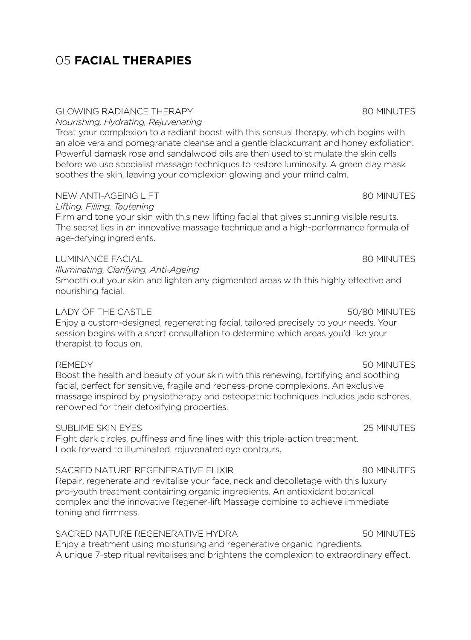# 05 **FACIAL THERAPIES**

## GLOWING RADIANCE THERAPY 80 MINUTES

*Nourishing, Hydrating, Rejuvenating*

Treat your complexion to a radiant boost with this sensual therapy, which begins with an aloe vera and pomegranate cleanse and a gentle blackcurrant and honey exfoliation. Powerful damask rose and sandalwood oils are then used to stimulate the skin cells before we use specialist massage techniques to restore luminosity. A green clay mask soothes the skin, leaving your complexion glowing and your mind calm.

## NEW ANTI-AGEING LIFT **AND REALLY SERVICES** SO MINUTES

## *Lifting, Filling, Tautening*

Firm and tone your skin with this new lifting facial that gives stunning visible results. The secret lies in an innovative massage technique and a high-performance formula of age-defying ingredients.

## LUMINANCE FACIAL 80 MINUTES

*Illuminating, Clarifying, Anti-Ageing*

Smooth out your skin and lighten any pigmented areas with this highly effective and nourishing facial.

## LADY OF THE CASTLE 50/80 MINUTES

Enjoy a custom-designed, regenerating facial, tailored precisely to your needs. Your session begins with a short consultation to determine which areas you'd like your therapist to focus on.

Boost the health and beauty of your skin with this renewing, fortifying and soothing facial, perfect for sensitive, fragile and redness-prone complexions. An exclusive massage inspired by physiotherapy and osteopathic techniques includes jade spheres, renowned for their detoxifying properties.

## SUBLIME SKIN EYES 25 MINUTES

Fight dark circles, puffiness and fine lines with this triple-action treatment. Look forward to illuminated, rejuvenated eye contours.

## SACRED NATURE REGENERATIVE ELIXIR **1990 CONTROLLER SERVICES** 80 MINUTES

Repair, regenerate and revitalise your face, neck and decolletage with this luxury pro-youth treatment containing organic ingredients. An antioxidant botanical complex and the innovative Regener-lift Massage combine to achieve immediate toning and firmness.

### SACRED NATURE REGENERATIVE HYDRA 50 MINUTES Enjoy a treatment using moisturising and regenerative organic ingredients.

A unique 7-step ritual revitalises and brightens the complexion to extraordinary effect.

## REMEDY **50 MINUTES**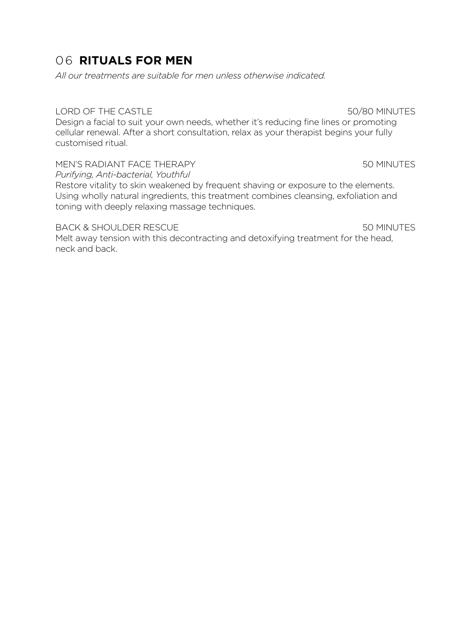# 06 **RITUALS FOR MEN**

*All our treatments are suitable for men unless otherwise indicated.*

## LORD OF THE CASTLE 50/80 MINUTES

Design a facial to suit your own needs, whether it's reducing fine lines or promoting cellular renewal. After a short consultation, relax as your therapist begins your fully customised ritual.

MEN'S RADIANT FACE THERAPY THE SOMINITES SOMINITES *Purifying, Anti-bacterial, Youthful*

Restore vitality to skin weakened by frequent shaving or exposure to the elements. Using wholly natural ingredients, this treatment combines cleansing, exfoliation and toning with deeply relaxing massage techniques.

## BACK & SHOULDER RESCUE **1999** SOMINUTES

Melt away tension with this decontracting and detoxifying treatment for the head, neck and back.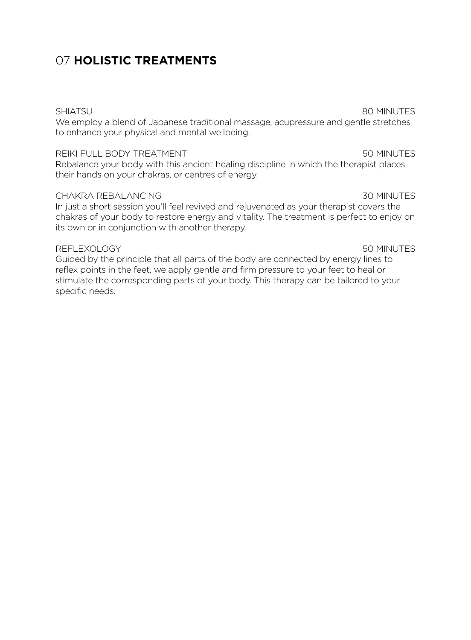# 07 **HOLISTIC TREATMENTS**

We employ a blend of Japanese traditional massage, acupressure and gentle stretches to enhance your physical and mental wellbeing.

## REIKI FULL BODY TREATMENT **1999 FOR SEXUAL SOMINUTES**

Rebalance your body with this ancient healing discipline in which the therapist places their hands on your chakras, or centres of energy.

## CHAKRA REBALANCING 30 MINUTES

In just a short session you'll feel revived and rejuvenated as your therapist covers the chakras of your body to restore energy and vitality. The treatment is perfect to enjoy on its own or in conjunction with another therapy.

## REFLEXOLOGY 50 MINUTES

Guided by the principle that all parts of the body are connected by energy lines to reflex points in the feet, we apply gentle and firm pressure to your feet to heal or stimulate the corresponding parts of your body. This therapy can be tailored to your specific needs.

### SHIATSU 80 MINUTES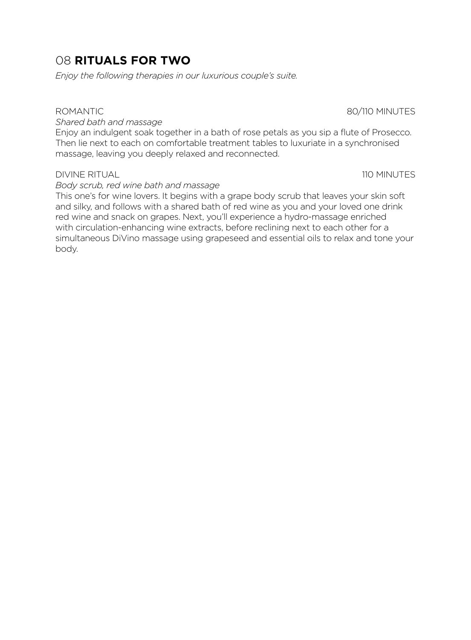# 08 **RITUALS FOR TWO**

*Enjoy the following therapies in our luxurious couple's suite.*

*Shared bath and massage*

Enjoy an indulgent soak together in a bath of rose petals as you sip a flute of Prosecco. Then lie next to each on comfortable treatment tables to luxuriate in a synchronised massage, leaving you deeply relaxed and reconnected.

## DIVINE RITUAL 110 MINUTES

*Body scrub, red wine bath and massage*

This one's for wine lovers. It begins with a grape body scrub that leaves your skin soft and silky, and follows with a shared bath of red wine as you and your loved one drink red wine and snack on grapes. Next, you'll experience a hydro-massage enriched with circulation-enhancing wine extracts, before reclining next to each other for a simultaneous DiVino massage using grapeseed and essential oils to relax and tone your body.

## ROMANTIC 80/110 MINUTES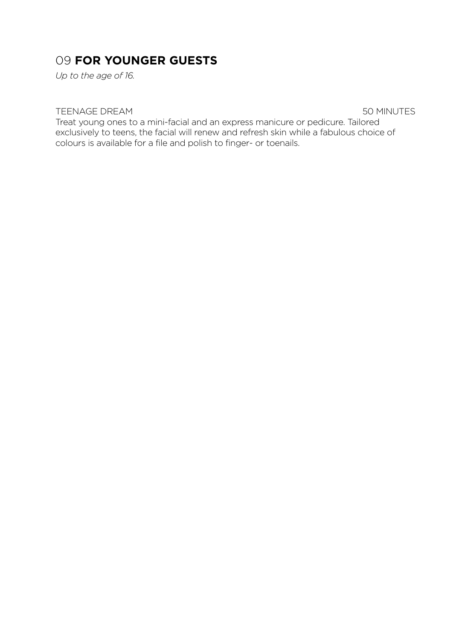# 09 **FOR YOUNGER GUESTS**

*Up to the age of 16.*

## TEENAGE DREAM 60 MINUTES

Treat young ones to a mini-facial and an express manicure or pedicure. Tailored exclusively to teens, the facial will renew and refresh skin while a fabulous choice of colours is available for a file and polish to finger- or toenails.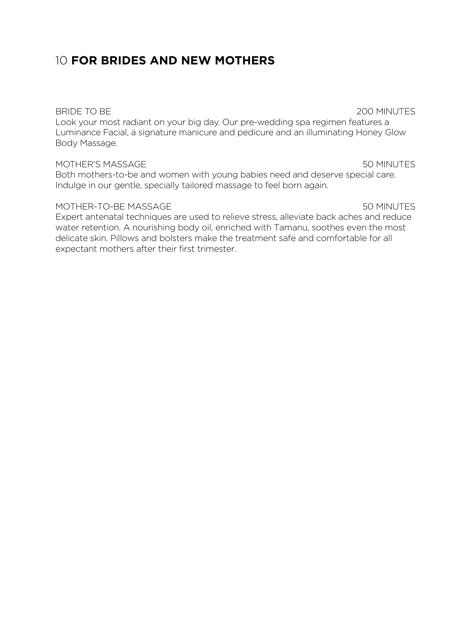# 10 **FOR BRIDES AND NEW MOTHERS**

Look your most radiant on your big day. Our pre-wedding spa regimen features a Luminance Facial, a signature manicure and pedicure and an illuminating Honey Glow Body Massage.

### MOTHER'S MASSAGE 50 MINUTES

Both mothers-to-be and women with young babies need and deserve special care. Indulge in our gentle, specially tailored massage to feel born again.

## MOTHER-TO-BE MASSAGE 50 MINUTES

Expert antenatal techniques are used to relieve stress, alleviate back aches and reduce water retention. A nourishing body oil, enriched with Tamanu, soothes even the most delicate skin. Pillows and bolsters make the treatment safe and comfortable for all expectant mothers after their first trimester.

### BRIDE TO BE 200 MINUTES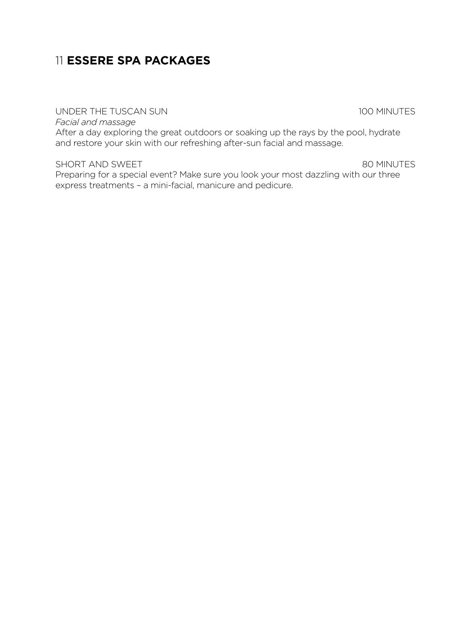# 11 **ESSERE SPA PACKAGES**

UNDER THE TUSCAN SUN 100 MINUTES

*Facial and massage*

After a day exploring the great outdoors or soaking up the rays by the pool, hydrate and restore your skin with our refreshing after-sun facial and massage.

SHORT AND SWEET SERVICES AND SWEET SHORT AND SWEET SERVICES AND ALL ASSAULT AND A SOMINUTES

Preparing for a special event? Make sure you look your most dazzling with our three express treatments – a mini-facial, manicure and pedicure.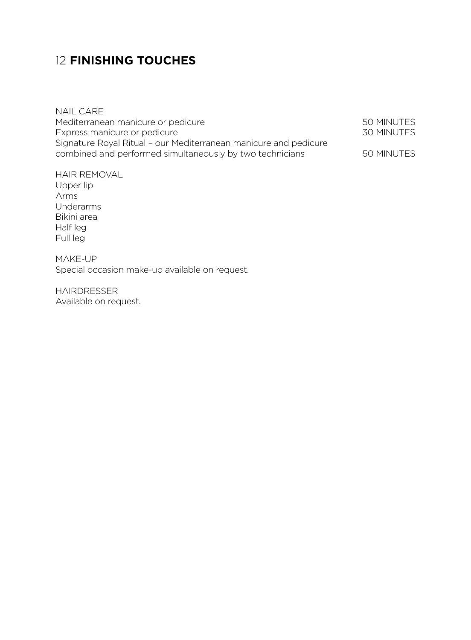# 12 **FINISHING TOUCHES**

NAIL CARE Mediterranean manicure or pedicure<br>
Express manicure or pedicure<br>
50 MINUTES<br>
50 MINUTES Express manicure or pedicure Signature Royal Ritual – our Mediterranean manicure and pedicure combined and performed simultaneously by two technicians 50 MINUTES

HAIR REMOVAL Upper lip Arms Underarms Bikini area Half leg Full leg

MAKE-UP Special occasion make-up available on request.

HAIRDRESSER Available on request.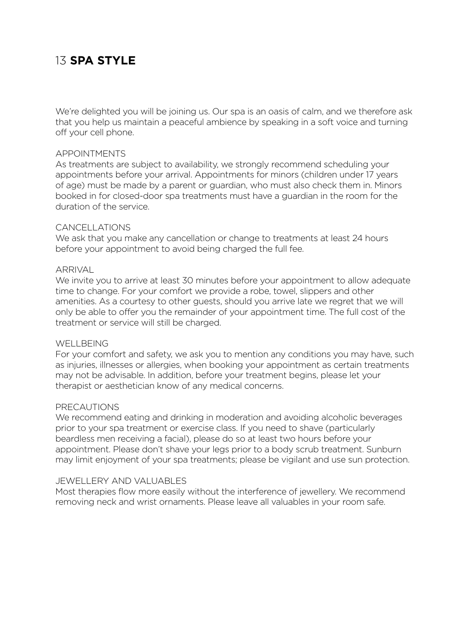# 13 **SPA STYLE**

We're delighted you will be joining us. Our spa is an oasis of calm, and we therefore ask that you help us maintain a peaceful ambience by speaking in a soft voice and turning off your cell phone.

## APPOINTMENTS

As treatments are subject to availability, we strongly recommend scheduling your appointments before your arrival. Appointments for minors (children under 17 years of age) must be made by a parent or guardian, who must also check them in. Minors booked in for closed-door spa treatments must have a guardian in the room for the duration of the service.

## CANCELLATIONS

We ask that you make any cancellation or change to treatments at least 24 hours before your appointment to avoid being charged the full fee.

## **ARRIVAL**

We invite you to arrive at least 30 minutes before your appointment to allow adequate time to change. For your comfort we provide a robe, towel, slippers and other amenities. As a courtesy to other guests, should you arrive late we regret that we will only be able to offer you the remainder of your appointment time. The full cost of the treatment or service will still be charged.

### WELL BEING

For your comfort and safety, we ask you to mention any conditions you may have, such as injuries, illnesses or allergies, when booking your appointment as certain treatments may not be advisable. In addition, before your treatment begins, please let your therapist or aesthetician know of any medical concerns.

### PRECAUTIONS

We recommend eating and drinking in moderation and avoiding alcoholic beverages prior to your spa treatment or exercise class. If you need to shave (particularly beardless men receiving a facial), please do so at least two hours before your appointment. Please don't shave your legs prior to a body scrub treatment. Sunburn may limit enjoyment of your spa treatments; please be vigilant and use sun protection.

### JEWELLERY AND VALUABLES

Most therapies flow more easily without the interference of jewellery. We recommend removing neck and wrist ornaments. Please leave all valuables in your room safe.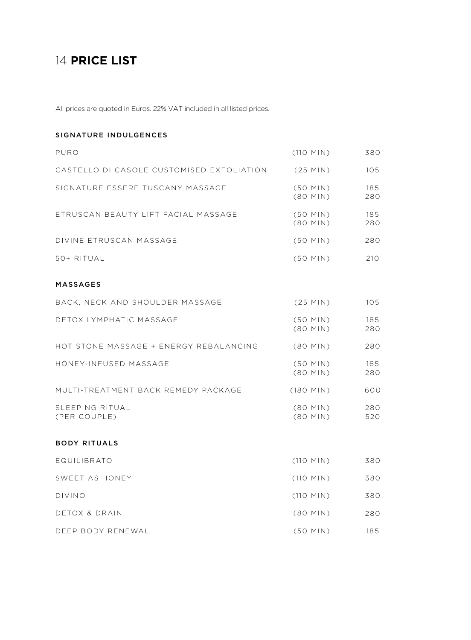# 14 **PRICE LIST**

All prices are quoted in Euros. 22% VAT included in all listed prices.

### SIGNATURE INDULGENCES

| PURO                                      | $(110$ MIN)              | 380        |
|-------------------------------------------|--------------------------|------------|
| CASTELLO DI CASOLE CUSTOMISED EXFOLIATION | $(25$ MIN)               | 105        |
| SIGNATURE ESSERE TUSCANY MASSAGE          | $(50$ MIN)<br>$(80$ MIN) | 185<br>280 |
| ETRUSCAN BEAUTY LIFT FACIAL MASSAGE       | $(50$ MIN)<br>$(80$ MIN) | 185<br>280 |
| DIVINE ETRUSCAN MASSAGE                   | $(50$ MIN)               | 280        |
| 50+ RITUAL                                | $(50$ MIN)               | 210        |
| <b>MASSAGES</b>                           |                          |            |
| BACK, NECK AND SHOULDER MASSAGE           | $(25$ MIN)               | 105        |
| DETOX LYMPHATIC MASSAGE                   | $(50$ MIN)<br>$(80$ MIN) | 185<br>280 |
| HOT STONE MASSAGE + ENERGY REBALANCING    | $(80$ MIN)               | 280        |
| HONEY-INFUSED MASSAGE                     | $(50$ MIN)<br>(80 MIN)   | 185<br>280 |
| MULTI-TREATMENT BACK REMEDY PACKAGE       | $(180$ MIN)              | 600        |
| SLEEPING RITUAL<br>(PER COUPLE)           | $(80$ MIN)<br>(80 MIN)   | 280<br>520 |
| <b>BODY RITUALS</b>                       |                          |            |
| EQUILIBRATO                               | $(110$ MIN)              | 380        |
| SWEET AS HONEY                            | $(110$ MIN)              | 380        |
| <b>DIVINO</b>                             | $(110$ MIN)              | 380        |
| DETOX & DRAIN                             | $(80$ MIN)               | 280        |
| DEEP BODY RENEWAL                         | (50 MIN)                 | 185        |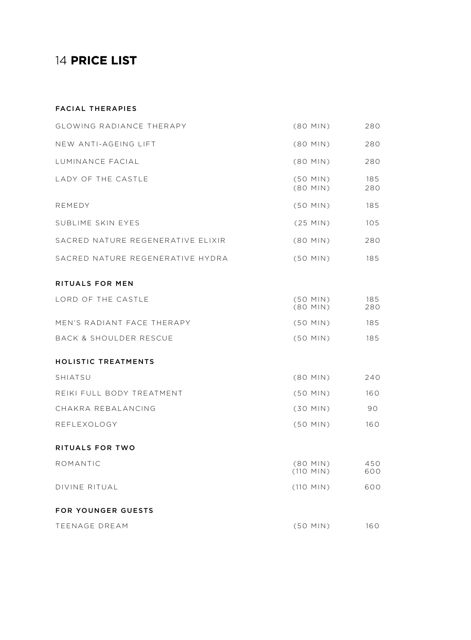# 14 **PRICE LIST**

### FACIAL THERAPIES

| <b>GLOWING RADIANCE THERAPY</b>   | $(80$ MIN)                | 280        |
|-----------------------------------|---------------------------|------------|
| NEW ANTI-AGEING LIFT              | (80 MIN)                  | 280        |
| LUMINANCE FACIAL                  | (80 MIN)                  | 280        |
| LADY OF THE CASTLE                | $(50$ MIN)<br>$(80$ MIN)  | 185<br>280 |
| REMEDY                            | $(50$ MIN)                | 185        |
| SUBLIME SKIN EYES                 | $(25$ MIN)                | 105        |
| SACRED NATURE REGENERATIVE ELIXIR | $(80$ MIN)                | 280        |
| SACRED NATURE REGENERATIVE HYDRA  | $(50$ MIN)                | 185        |
| RITUALS FOR MEN                   |                           |            |
| LORD OF THE CASTLE                | $(50$ MIN)<br>$(80$ MIN)  | 185<br>280 |
| MEN'S RADIANT FACE THERAPY        | $(50$ MIN)                | 185        |
| <b>BACK &amp; SHOULDER RESCUE</b> | $(50$ MIN)                | 185        |
| <b>HOLISTIC TREATMENTS</b>        |                           |            |
| <b>SHIATSU</b>                    | $(80$ MIN)                | 240        |
| REIKI FULL BODY TREATMENT         | $(50$ MIN)                | 160        |
| CHAKRA REBALANCING                | $(30$ MIN)                | 90         |
| REFLEXOLOGY                       | $(50$ MIN)                | 160        |
| <b>RITUALS FOR TWO</b>            |                           |            |
| ROMANTIC                          | $(80$ MIN)<br>$(110$ MIN) | 450<br>600 |
| DIVINE RITUAL                     | $(110$ MIN)               | 600        |
| <b>FOR YOUNGER GUESTS</b>         |                           |            |
| TEENAGE DREAM                     | $(50$ MIN)                | 160        |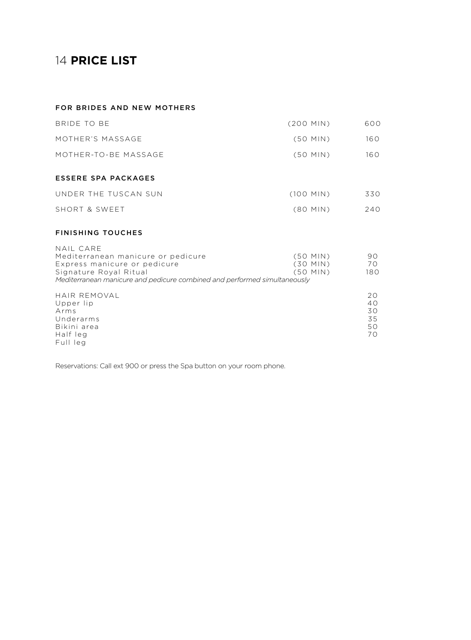# 14 **PRICE LIST**

### FOR BRIDES AND NEW MOTHERS

| BRIDE TO BE          | $(200$ MIN) | 600 |
|----------------------|-------------|-----|
| MOTHER'S MASSAGE     | $(50$ MIN)  | 160 |
| MOTHER-TO-BE MASSAGE | $(50$ MIN)  | 160 |
| ESSERE SPA PACKAGES  |             |     |
|                      |             |     |
| UNDER THE TUSCAN SUN | $(100$ MIN) | 330 |
| SHORT & SWEET        | (80 MIN)    | 240 |

### FINISHING TOUCHES

| NAIL CARE                                                                 |            |                 |
|---------------------------------------------------------------------------|------------|-----------------|
| Mediterranean manicure or pedicure                                        | $(50$ MIN) | 90.             |
| Express manicure or pedicure                                              | $(30$ MIN) | 70.             |
| Signature Royal Ritual                                                    | $(50$ MIN) | 180             |
| Mediterranean manicure and pedicure combined and performed simultaneously |            |                 |
| HAIR REMOVAL                                                              |            | 20.             |
| Upper lip                                                                 |            | 40 <sup>°</sup> |
| Arms                                                                      |            | 30.             |

35 50 70

Arms Underarms Bikini area Half leg Full leg

Reservations: Call ext 900 or press the Spa button on your room phone.